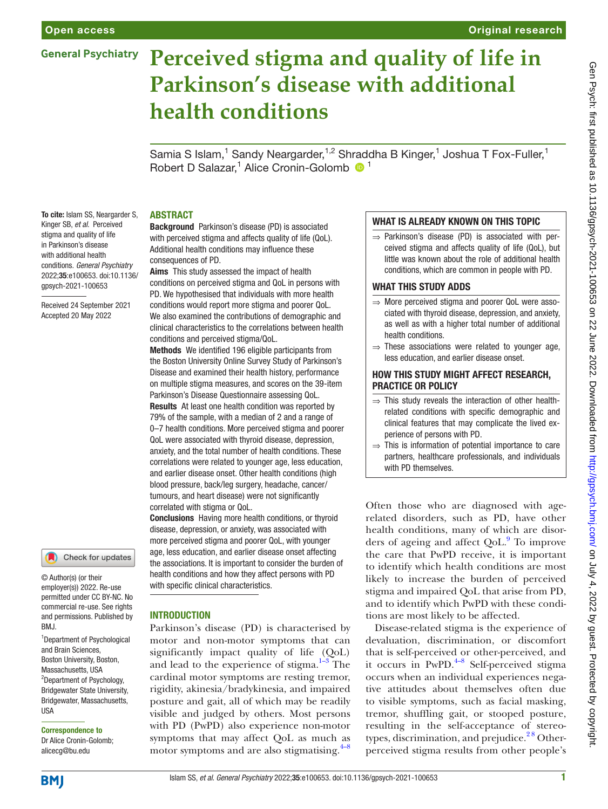## **General Psychiatry**

# **Perceived stigma and quality of life in Parkinson's disease with additional health conditions**

Samia S Islam,<sup>1</sup> Sandy Neargarder,<sup>1,2</sup> Shraddha B Kinger,<sup>1</sup> Joshua T Fox-Fuller,<sup>1</sup> Robert D Salazar,<sup>1</sup> Alice Cronin-Golomb <sup>1</sup>

#### **ABSTRACT**

To cite: Islam SS, Neargarder S, Kinger SB, *et al*. Perceived stigma and quality of life in Parkinson's disease with additional health conditions. *General Psychiatry* 2022;35:e100653. doi:10.1136/ gpsych-2021-100653

Received 24 September 2021 Accepted 20 May 2022



© Author(s) (or their employer(s)) 2022. Re-use permitted under CC BY-NC. No commercial re-use. See rights and permissions. Published by BMJ.

1 Department of Psychological and Brain Sciences, Boston University, Boston, Massachusetts, USA <sup>2</sup>Department of Psychology, Bridgewater State University, Bridgewater, Massachusetts, **IISA** 

Correspondence to Dr Alice Cronin-Golomb; alicecg@bu.edu

Background Parkinson's disease (PD) is associated with perceived stigma and affects quality of life (QoL). Additional health conditions may influence these consequences of PD.

Aims This study assessed the impact of health conditions on perceived stigma and QoL in persons with PD. We hypothesised that individuals with more health conditions would report more stigma and poorer QoL. We also examined the contributions of demographic and clinical characteristics to the correlations between health conditions and perceived stigma/QoL.

Methods We identified 196 eligible participants from the Boston University Online Survey Study of Parkinson's Disease and examined their health history, performance on multiple stigma measures, and scores on the 39-item Parkinson's Disease Questionnaire assessing QoL.

Results At least one health condition was reported by 79% of the sample, with a median of 2 and a range of 0–7 health conditions. More perceived stigma and poorer QoL were associated with thyroid disease, depression, anxiety, and the total number of health conditions. These correlations were related to younger age, less education, and earlier disease onset. Other health conditions (high blood pressure, back/leg surgery, headache, cancer/ tumours, and heart disease) were not significantly correlated with stigma or QoL.

Conclusions Having more health conditions, or thyroid disease, depression, or anxiety, was associated with more perceived stigma and poorer QoL, with younger age, less education, and earlier disease onset affecting the associations. It is important to consider the burden of health conditions and how they affect persons with PD with specific clinical characteristics.

#### **INTRODUCTION**

Parkinson's disease (PD) is characterised by motor and non-motor symptoms that can significantly impact quality of life (QoL) and lead to the experience of stigma. $1-3$  The cardinal motor symptoms are resting tremor, rigidity, akinesia/bradykinesia, and impaired posture and gait, all of which may be readily visible and judged by others. Most persons with PD (PwPD) also experience non-motor symptoms that may affect QoL as much as motor symptoms and are also stigmatising. $4-8$ 

### WHAT IS ALREADY KNOWN ON THIS TOPIC

 $\Rightarrow$  Parkinson's disease (PD) is associated with perceived stigma and affects quality of life (QoL), but little was known about the role of additional health conditions, which are common in people with PD.

#### WHAT THIS STUDY ADDS

- ⇒ More perceived stigma and poorer QoL were associated with thyroid disease, depression, and anxiety, as well as with a higher total number of additional health conditions.
- $\Rightarrow$  These associations were related to younger age, less education, and earlier disease onset.

#### How this study might affect research, practice or policy

- $\Rightarrow$  This study reveals the interaction of other healthrelated conditions with specific demographic and clinical features that may complicate the lived experience of persons with PD.
- $\Rightarrow$  This is information of potential importance to care partners, healthcare professionals, and individuals with PD themselves.

Often those who are diagnosed with agerelated disorders, such as PD, have other health conditions, many of which are disor-ders of ageing and affect QoL.<sup>[9](#page-8-2)</sup> To improve the care that PwPD receive, it is important to identify which health conditions are most likely to increase the burden of perceived stigma and impaired QoL that arise from PD, and to identify which PwPD with these conditions are most likely to be affected.

Disease-related stigma is the experience of devaluation, discrimination, or discomfort that is self-perceived or other-perceived, and it occurs in  $PwPD.<sup>4-8</sup>$  Self-perceived stigma occurs when an individual experiences negative attitudes about themselves often due to visible symptoms, such as facial masking, tremor, shuffling gait, or stooped posture, resulting in the self-acceptance of stereotypes, discrimination, and prejudice. $28$  Otherperceived stigma results from other people's

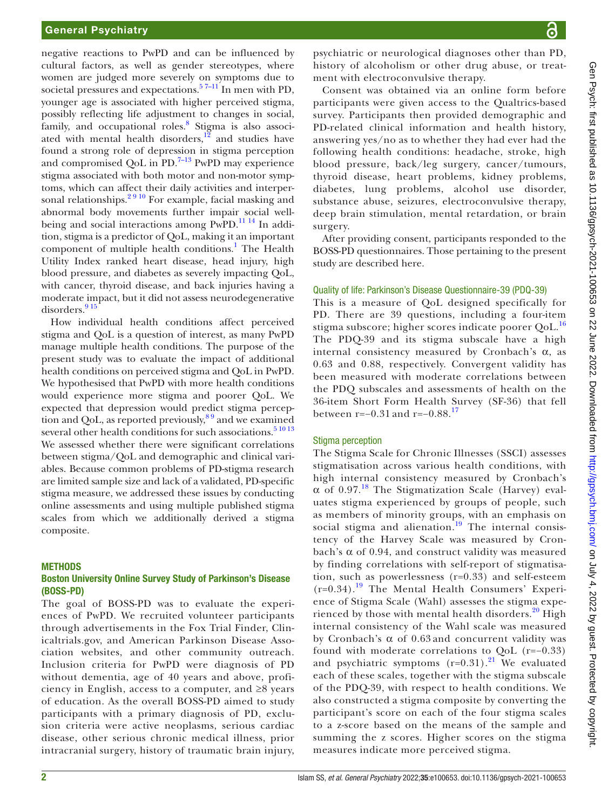negative reactions to PwPD and can be influenced by cultural factors, as well as gender stereotypes, where women are judged more severely on symptoms due to societal pressures and expectations.<sup>57–11</sup> In men with PD, younger age is associated with higher perceived stigma, possibly reflecting life adjustment to changes in social, family, and occupational roles.<sup>8</sup> Stigma is also associated with mental health disorders, $1^{\frac{3}{2}}$  and studies have found a strong role of depression in stigma perception and compromised QoL in  $PD^{-7-13}$  PwPD may experience stigma associated with both motor and non-motor symptoms, which can affect their daily activities and interpersonal relationships.<sup>2 9 10</sup> For example, facial masking and abnormal body movements further impair social wellbeing and social interactions among  $PwPD$ .<sup>11 14</sup> In addition, stigma is a predictor of QoL, making it an important component of multiple health conditions.<sup>[1](#page-8-0)</sup> The Health Utility Index ranked heart disease, head injury, high blood pressure, and diabetes as severely impacting QoL, with cancer, thyroid disease, and back injuries having a moderate impact, but it did not assess neurodegenerative  $disorders.<sup>915</sup>$ 

How individual health conditions affect perceived stigma and QoL is a question of interest, as many PwPD manage multiple health conditions. The purpose of the present study was to evaluate the impact of additional health conditions on perceived stigma and QoL in PwPD. We hypothesised that PwPD with more health conditions would experience more stigma and poorer QoL. We expected that depression would predict stigma perception and QoL, as reported previously,  $89$  and we examined several other health conditions for such associations. $5^{10}$  13 We assessed whether there were significant correlations between stigma/QoL and demographic and clinical variables. Because common problems of PD-stigma research are limited sample size and lack of a validated, PD-specific stigma measure, we addressed these issues by conducting online assessments and using multiple published stigma scales from which we additionally derived a stigma composite.

#### **METHODS**

#### Boston University Online Survey Study of Parkinson's Disease (BOSS-PD)

The goal of BOSS-PD was to evaluate the experiences of PwPD. We recruited volunteer participants through advertisements in the Fox Trial Finder, Clinicaltrials.gov, and American Parkinson Disease Association websites, and other community outreach. Inclusion criteria for PwPD were diagnosis of PD without dementia, age of 40 years and above, proficiency in English, access to a computer, and ≥8 years of education. As the overall BOSS-PD aimed to study participants with a primary diagnosis of PD, exclusion criteria were active neoplasms, serious cardiac disease, other serious chronic medical illness, prior intracranial surgery, history of traumatic brain injury,

psychiatric or neurological diagnoses other than PD, history of alcoholism or other drug abuse, or treatment with electroconvulsive therapy.

Consent was obtained via an online form before participants were given access to the Qualtrics-based survey. Participants then provided demographic and PD-related clinical information and health history, answering yes/no as to whether they had ever had the following health conditions: headache, stroke, high blood pressure, back/leg surgery, cancer/tumours, thyroid disease, heart problems, kidney problems, diabetes, lung problems, alcohol use disorder, substance abuse, seizures, electroconvulsive therapy, deep brain stimulation, mental retardation, or brain surgery.

After providing consent, participants responded to the BOSS-PD questionnaires. Those pertaining to the present study are described here.

# Quality of life: Parkinson's Disease Questionnaire-39 (PDQ-39)

This is a measure of QoL designed specifically for PD. There are 39 questions, including a four-item stigma subscore; higher scores indicate poorer QoL.<sup>[16](#page-8-9)</sup> The PDQ-39 and its stigma subscale have a high internal consistency measured by Cronbach's  $\alpha$ , as 0.63 and 0.88, respectively. Convergent validity has been measured with moderate correlations between the PDQ subscales and assessments of health on the 36-item Short Form Health Survey (SF-36) that fell between r=−0.31 and r=−0.88.<sup>[17](#page-8-10)</sup>

#### Stigma perception

The Stigma Scale for Chronic Illnesses (SSCI) assesses stigmatisation across various health conditions, with high internal consistency measured by Cronbach's  $\alpha$  of 0.97.<sup>[18](#page-8-11)</sup> The Stigmatization Scale (Harvey) evaluates stigma experienced by groups of people, such as members of minority groups, with an emphasis on social stigma and alienation.<sup>[19](#page-8-12)</sup> The internal consistency of the Harvey Scale was measured by Cronbach's α of 0.94, and construct validity was measured by finding correlations with self-report of stigmatisation, such as powerlessness (r=0.33) and self-esteem  $(r=0.34).$ <sup>19</sup> The Mental Health Consumers' Experience of Stigma Scale (Wahl) assesses the stigma experienced by those with mental health disorders. $20$  High internal consistency of the Wahl scale was measured by Cronbach's α of 0.63 and concurrent validity was found with moderate correlations to QoL (r=−0.33) and psychiatric symptoms  $(r=0.31)$ .<sup>21</sup> We evaluated each of these scales, together with the stigma subscale of the PDQ-39, with respect to health conditions. We also constructed a stigma composite by converting the participant's score on each of the four stigma scales to a z-score based on the means of the sample and summing the z scores. Higher scores on the stigma measures indicate more perceived stigma.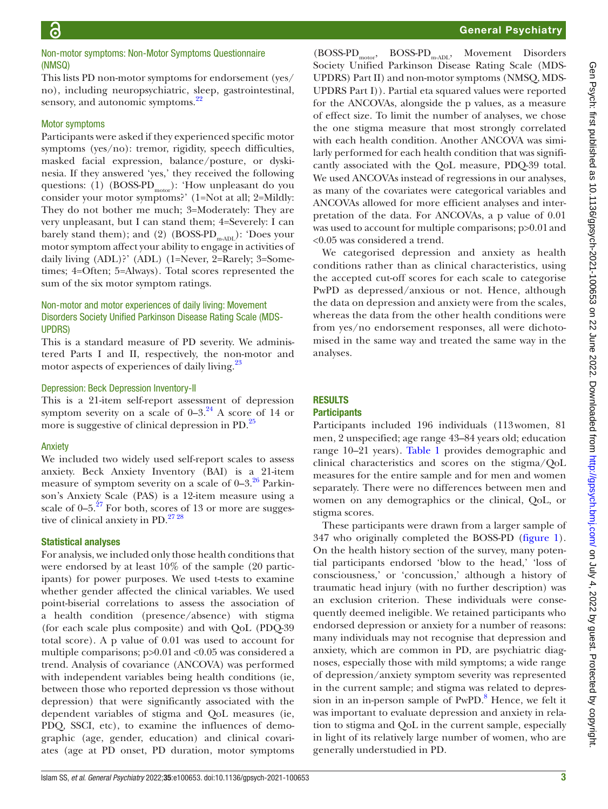#### Non-motor symptoms: Non-Motor Symptoms Questionnaire (NMSQ)

This lists PD non-motor symptoms for endorsement (yes/ no), including neuropsychiatric, sleep, gastrointestinal, sensory, and autonomic symptoms.<sup>[22](#page-8-15)</sup>

#### Motor symptoms

Participants were asked if they experienced specific motor symptoms (yes/no): tremor, rigidity, speech difficulties, masked facial expression, balance/posture, or dyskinesia. If they answered 'yes,' they received the following questions: (1) (BOSS-PD<sub>motor</sub>): 'How unpleasant do you consider your motor symptoms?' (1=Not at all; 2=Mildly: They do not bother me much; 3=Moderately: They are very unpleasant, but I can stand them; 4=Severely: I can barely stand them); and (2) (BOSS-PD<sub>m-ADL</sub>): 'Does your motor symptom affect your ability to engage in activities of daily living (ADL)?' (ADL) (1=Never, 2=Rarely; 3=Sometimes; 4=Often; 5=Always). Total scores represented the sum of the six motor symptom ratings.

#### Non-motor and motor experiences of daily living: Movement Disorders Society Unified Parkinson Disease Rating Scale (MDS-UPDRS)

This is a standard measure of PD severity. We administered Parts I and II, respectively, the non-motor and motor aspects of experiences of daily living.<sup>23</sup>

#### Depression: Beck Depression Inventory-II

This is a 21-item self-report assessment of depression symptom severity on a scale of  $0-3.^{24}$  A score of 14 or more is suggestive of clinical depression in PD.<sup>[25](#page-8-18)</sup>

#### Anxiety

#### We included two widely used self-report scales to assess anxiety. Beck Anxiety Inventory (BAI) is a 21-item measure of symptom severity on a scale of  $0-3.^{26}$  Parkinson's Anxiety Scale (PAS) is a 12-item measure using a scale of  $0-5.^{27}$  For both, scores of 13 or more are suggestive of clinical anxiety in PD. $27\frac{28}{10}$

#### Statistical analyses

For analysis, we included only those health conditions that were endorsed by at least 10% of the sample (20 participants) for power purposes. We used t-tests to examine whether gender affected the clinical variables. We used point-biserial correlations to assess the association of a health condition (presence/absence) with stigma (for each scale plus composite) and with QoL (PDQ-39 total score). A p value of 0.01 was used to account for multiple comparisons; p>0.01and <0.05 was considered a trend. Analysis of covariance (ANCOVA) was performed with independent variables being health conditions (ie, between those who reported depression vs those without depression) that were significantly associated with the dependent variables of stigma and QoL measures (ie, PDQ, SSCI, etc), to examine the influences of demographic (age, gender, education) and clinical covariates (age at PD onset, PD duration, motor symptoms

 $(BOSS-PD<sub>motor</sub>, BOSS-PD<sub>m-ADL</sub>, Movement Disorders$ Society Unified Parkinson Disease Rating Scale (MDS-UPDRS) Part II) and non-motor symptoms (NMSQ, MDS-UPDRS Part I)). Partial eta squared values were reported for the ANCOVAs, alongside the p values, as a measure of effect size. To limit the number of analyses, we chose the one stigma measure that most strongly correlated with each health condition. Another ANCOVA was similarly performed for each health condition that was significantly associated with the QoL measure, PDQ-39 total. We used ANCOVAs instead of regressions in our analyses, as many of the covariates were categorical variables and ANCOVAs allowed for more efficient analyses and interpretation of the data. For ANCOVAs, a p value of 0.01 was used to account for multiple comparisons; p>0.01 and <0.05 was considered a trend.

We categorised depression and anxiety as health conditions rather than as clinical characteristics, using the accepted cut-off scores for each scale to categorise PwPD as depressed/anxious or not. Hence, although the data on depression and anxiety were from the scales, whereas the data from the other health conditions were from yes/no endorsement responses, all were dichotomised in the same way and treated the same way in the analyses.

# **RESULTS**

#### **Participants**

Participants included 196 individuals (113women, 81 men, 2 unspecified; age range 43–84 years old; education range 10–21 years). [Table](#page-3-0) 1 provides demographic and clinical characteristics and scores on the stigma/QoL measures for the entire sample and for men and women separately. There were no differences between men and women on any demographics or the clinical, QoL, or stigma scores.

These participants were drawn from a larger sample of 347 who originally completed the BOSS-PD [\(figure](#page-3-1) 1). On the health history section of the survey, many potential participants endorsed 'blow to the head,' 'loss of consciousness,' or 'concussion,' although a history of traumatic head injury (with no further description) was an exclusion criterion. These individuals were consequently deemed ineligible. We retained participants who endorsed depression or anxiety for a number of reasons: many individuals may not recognise that depression and anxiety, which are common in PD, are psychiatric diagnoses, especially those with mild symptoms; a wide range of depression/anxiety symptom severity was represented in the current sample; and stigma was related to depres-sion in an in-person sample of PwPD.<sup>[8](#page-8-5)</sup> Hence, we felt it was important to evaluate depression and anxiety in relation to stigma and QoL in the current sample, especially in light of its relatively large number of women, who are generally understudied in PD.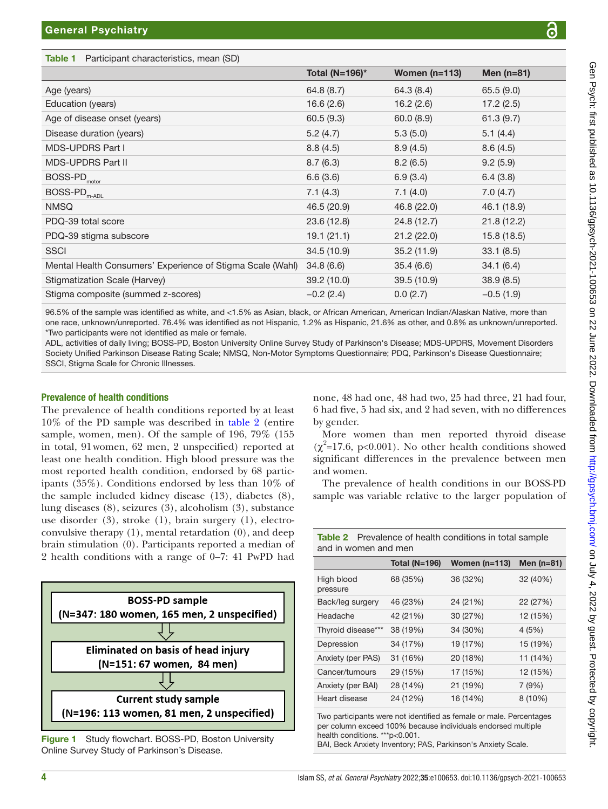<span id="page-3-0"></span>Table 1 Participant characteristics, mean (SD)

|                                                                     | $10(a)$ $(19 = 150)$ |             | $I = 01$    |
|---------------------------------------------------------------------|----------------------|-------------|-------------|
| Age (years)                                                         | 64.8(8.7)            | 64.3 (8.4)  | 65.5(9.0)   |
| Education (years)                                                   | 16.6(2.6)            | 16.2(2.6)   | 17.2(2.5)   |
| Age of disease onset (years)                                        | 60.5(9.3)            | 60.0(8.9)   | 61.3(9.7)   |
| Disease duration (years)                                            | 5.2(4.7)             | 5.3(5.0)    | 5.1(4.4)    |
| <b>MDS-UPDRS Part I</b>                                             | 8.8(4.5)             | 8.9(4.5)    | 8.6(4.5)    |
| <b>MDS-UPDRS Part II</b>                                            | 8.7(6.3)             | 8.2(6.5)    | 9.2(5.9)    |
| BOSS-PD <sub>motor</sub>                                            | 6.6(3.6)             | 6.9(3.4)    | 6.4(3.8)    |
| $\mathsf{BOSS}\text{-}\mathsf{PD}_{\mathsf{m}\text{-}\mathsf{ADL}}$ | 7.1(4.3)             | 7.1(4.0)    | 7.0(4.7)    |
| <b>NMSQ</b>                                                         | 46.5 (20.9)          | 46.8 (22.0) | 46.1 (18.9) |
| PDQ-39 total score                                                  | 23.6(12.8)           | 24.8 (12.7) | 21.8(12.2)  |
| PDQ-39 stigma subscore                                              | 19.1(21.1)           | 21.2(22.0)  | 15.8(18.5)  |
| <b>SSCI</b>                                                         | 34.5(10.9)           | 35.2(11.9)  | 33.1(8.5)   |
| Mental Health Consumers' Experience of Stigma Scale (Wahl)          | 34.8(6.6)            | 35.4(6.6)   | 34.1(6.4)   |
| Stigmatization Scale (Harvey)                                       | 39.2 (10.0)          | 39.5(10.9)  | 38.9(8.5)   |
| Stigma composite (summed z-scores)                                  | $-0.2(2.4)$          | 0.0(2.7)    | $-0.5(1.9)$ |

one race, unknown/unreported. 76.4% was identified as not Hispanic, 1.2% as Hispanic, 21.6% as other, and 0.8% as unknown/unreported. \*Two participants were not identified as male or female.

ADL, activities of daily living; BOSS-PD, Boston University Online Survey Study of Parkinson's Disease; MDS-UPDRS, Movement Disorders Society Unified Parkinson Disease Rating Scale; NMSQ, Non-Motor Symptoms Questionnaire; PDQ, Parkinson's Disease Questionnaire; SSCI, Stigma Scale for Chronic Illnesses.

#### Prevalence of health conditions

The prevalence of health conditions reported by at least 10% of the PD sample was described in [table](#page-3-2) 2 (entire sample, women, men). Of the sample of 196, 79% (155 in total, 91women, 62 men, 2 unspecified) reported at least one health condition. High blood pressure was the most reported health condition, endorsed by 68 participants (35%). Conditions endorsed by less than 10% of the sample included kidney disease (13), diabetes (8), lung diseases (8), seizures (3), alcoholism (3), substance use disorder (3), stroke (1), brain surgery (1), electroconvulsive therapy (1), mental retardation (0), and deep brain stimulation (0). Participants reported a median of 2 health conditions with a range of 0–7: 41 PwPD had



<span id="page-3-1"></span>Figure 1 Study flowchart. BOSS-PD, Boston University Online Survey Study of Parkinson's Disease.

none, 48 had one, 48 had two, 25 had three, 21 had four, 6 had five, 5 had six, and 2 had seven, with no differences by gender.

 $Total (N=100)*$   $M_{\text{onon}} (n=112)$   $M_{\text{on}} (n=91)$ 

More women than men reported thyroid disease  $(\chi^2=17.6, p<0.001)$ . No other health conditions showed significant differences in the prevalence between men and women.

The prevalence of health conditions in our BOSS-PD sample was variable relative to the larger population of

<span id="page-3-2"></span>Table 2 Prevalence of health conditions in total sample

| and in women and men   |                      |                 |              |  |  |
|------------------------|----------------------|-----------------|--------------|--|--|
|                        | <b>Total (N=196)</b> | Women $(n=113)$ | Men $(n=81)$ |  |  |
| High blood<br>pressure | 68 (35%)             | 36 (32%)        | 32 (40%)     |  |  |
| Back/leg surgery       | 46 (23%)             | 24 (21%)        | 22 (27%)     |  |  |
| Headache               | 42 (21%)             | 30 (27%)        | 12 (15%)     |  |  |
| Thyroid disease***     | 38 (19%)             | 34 (30%)        | 4(5%)        |  |  |
| Depression             | 34 (17%)             | 19 (17%)        | 15 (19%)     |  |  |
| Anxiety (per PAS)      | 31 (16%)             | 20 (18%)        | 11 (14%)     |  |  |
| Cancer/tumours         | 29 (15%)             | 17 (15%)        | 12 (15%)     |  |  |
| Anxiety (per BAI)      | 28 (14%)             | 21 (19%)        | 7(9%)        |  |  |
| Heart disease          | 24 (12%)             | 16 (14%)        | $8(10\%)$    |  |  |

Two participants were not identified as female or male. Percentages per column exceed 100% because individuals endorsed multiple health conditions. \*\*\*p<0.001.

BAI, Beck Anxiety Inventory; PAS, Parkinson's Anxiety Scale.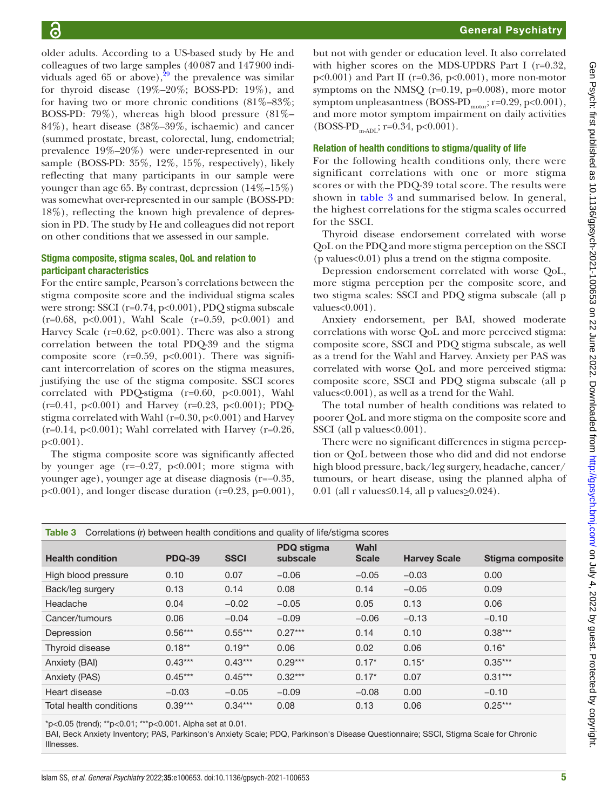older adults. According to a US-based study by He and colleagues of two large samples (40087 and 147900 individuals aged 65 or above),  $29$  the prevalence was similar for thyroid disease  $(19\%-20\%)$ ; BOSS-PD:  $19\%)$ , and for having two or more chronic conditions  $(81\% - 83\%);$ BOSS-PD: 79%), whereas high blood pressure (81%– 84%), heart disease (38%–39%, ischaemic) and cancer (summed prostate, breast, colorectal, lung, endometrial; prevalence 19%–20%) were under-represented in our sample (BOSS-PD: 35%, 12%, 15%, respectively), likely reflecting that many participants in our sample were younger than age 65. By contrast, depression (14%–15%) was somewhat over-represented in our sample (BOSS-PD: 18%), reflecting the known high prevalence of depression in PD. The study by He and colleagues did not report on other conditions that we assessed in our sample.

#### Stigma composite, stigma scales, QoL and relation to participant characteristics

For the entire sample, Pearson's correlations between the stigma composite score and the individual stigma scales were strong: SSCI (r=0.74, p<0.001), PDQ stigma subscale (r=0.68, p<0.001), Wahl Scale (r=0.59, p<0.001) and Harvey Scale ( $r=0.62$ ,  $p<0.001$ ). There was also a strong correlation between the total PDQ-39 and the stigma composite score ( $r=0.59$ ,  $p<0.001$ ). There was significant intercorrelation of scores on the stigma measures, justifying the use of the stigma composite. SSCI scores correlated with PDQ-stigma  $(r=0.60, p<0.001)$ , Wahl  $(r=0.41, p<0.001)$  and Harvey  $(r=0.23, p<0.001)$ ; PDQstigma correlated with Wahl (r=0.30, p<0.001) and Harvey  $(r=0.14, p<0.001)$ ; Wahl correlated with Harvey  $(r=0.26, p=0.14)$ p<0.001).

The stigma composite score was significantly affected by younger age (r=−0.27, p<0.001; more stigma with younger age), younger age at disease diagnosis (r=−0.35, p<0.001), and longer disease duration (r=0.23, p=0.001),

but not with gender or education level. It also correlated with higher scores on the MDS-UPDRS Part I (r=0.32,  $p<0.001$ ) and Part II (r=0.36,  $p<0.001$ ), more non-motor symptoms on the NMSQ (r=0.19, p=0.008), more motor symptom unpleasantness (BOSS-PD<sub>motor</sub>; r=0.29, p<0.001), and more motor symptom impairment on daily activities  $(BOSS-PD_{m\text{-ADL}}; r=0.34, p<0.001).$ 

#### Relation of health conditions to stigma/quality of life

For the following health conditions only, there were significant correlations with one or more stigma scores or with the PDQ-39 total score. The results were shown in [table](#page-4-0) 3 and summarised below. In general, the highest correlations for the stigma scales occurred for the SSCI.

Thyroid disease endorsement correlated with worse QoL on the PDQ and more stigma perception on the SSCI (p values<0.01) plus a trend on the stigma composite.

Depression endorsement correlated with worse QoL, more stigma perception per the composite score, and two stigma scales: SSCI and PDQ stigma subscale (all p values<0.001).

Anxiety endorsement, per BAI, showed moderate correlations with worse QoL and more perceived stigma: composite score, SSCI and PDQ stigma subscale, as well as a trend for the Wahl and Harvey. Anxiety per PAS was correlated with worse QoL and more perceived stigma: composite score, SSCI and PDQ stigma subscale (all p values<0.001), as well as a trend for the Wahl.

The total number of health conditions was related to poorer QoL and more stigma on the composite score and SSCI (all p values < 0.001).

There were no significant differences in stigma perception or QoL between those who did and did not endorse high blood pressure, back/leg surgery, headache, cancer/ tumours, or heart disease, using the planned alpha of 0.01 (all r values  $\leq$  0.14, all p values  $\geq$  0.024).

<span id="page-4-0"></span>

| Correlations (r) between health conditions and quality of life/stigma scores<br>Table 3 |               |             |                               |                      |                     |                  |
|-----------------------------------------------------------------------------------------|---------------|-------------|-------------------------------|----------------------|---------------------|------------------|
| <b>Health condition</b>                                                                 | <b>PDQ-39</b> | <b>SSCI</b> | <b>PDQ</b> stigma<br>subscale | Wahl<br><b>Scale</b> | <b>Harvey Scale</b> | Stigma composite |
| High blood pressure                                                                     | 0.10          | 0.07        | $-0.06$                       | $-0.05$              | $-0.03$             | 0.00             |
| Back/leg surgery                                                                        | 0.13          | 0.14        | 0.08                          | 0.14                 | $-0.05$             | 0.09             |
| Headache                                                                                | 0.04          | $-0.02$     | $-0.05$                       | 0.05                 | 0.13                | 0.06             |
| Cancer/tumours                                                                          | 0.06          | $-0.04$     | $-0.09$                       | $-0.06$              | $-0.13$             | $-0.10$          |
| Depression                                                                              | $0.56***$     | $0.55***$   | $0.27***$                     | 0.14                 | 0.10                | $0.38***$        |
| Thyroid disease                                                                         | $0.18**$      | $0.19**$    | 0.06                          | 0.02                 | 0.06                | $0.16*$          |
| Anxiety (BAI)                                                                           | $0.43***$     | $0.43***$   | $0.29***$                     | $0.17*$              | $0.15*$             | $0.35***$        |
| Anxiety (PAS)                                                                           | $0.45***$     | $0.45***$   | $0.32***$                     | $0.17*$              | 0.07                | $0.31***$        |
| Heart disease                                                                           | $-0.03$       | $-0.05$     | $-0.09$                       | $-0.08$              | 0.00                | $-0.10$          |
| Total health conditions                                                                 | $0.39***$     | $0.34***$   | 0.08                          | 0.13                 | 0.06                | $0.25***$        |

\*p<0.05 (trend); \*\*p<0.01; \*\*\*p<0.001. Alpha set at 0.01.

BAI, Beck Anxiety Inventory; PAS, Parkinson's Anxiety Scale; PDQ, Parkinson's Disease Questionnaire; SSCI, Stigma Scale for Chronic Illnesses.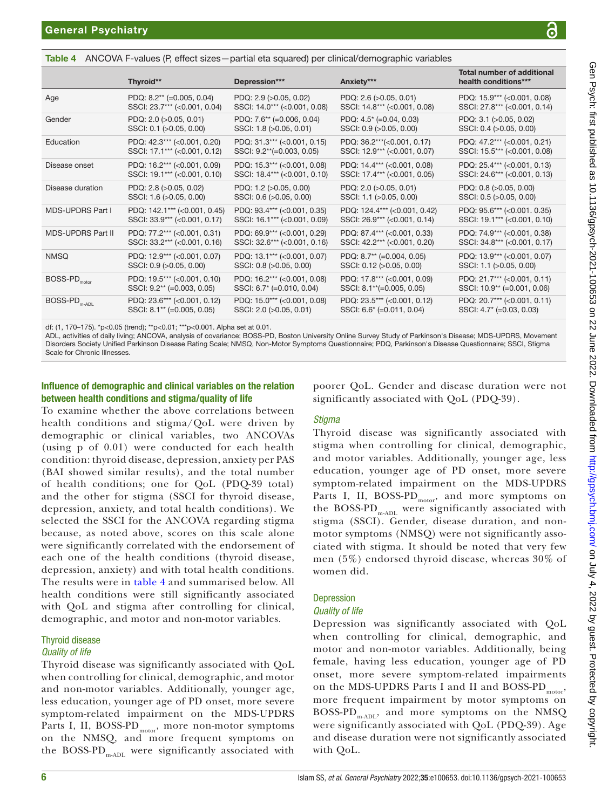<span id="page-5-0"></span>Table 4 ANCOVA F-values (P, effect sizes—partial eta squared) per clinical/demographic variables

|                                                                     | Thyroid**                    | Depression***                | Anxiety***                   | <b>Total number of additional</b><br>health conditions*** |
|---------------------------------------------------------------------|------------------------------|------------------------------|------------------------------|-----------------------------------------------------------|
| Age                                                                 | PDQ: $8.2**$ (=0.005, 0.04)  | PDQ: 2.9 (>0.05, 0.02)       | PDQ: 2.6 (>0.05, 0.01)       | PDQ: 15.9*** (<0.001, 0.08)                               |
|                                                                     | SSCI: 23.7*** (<0.001, 0.04) | SSCI: 14.0*** (<0.001, 0.08) | SSCI: 14.8*** (<0.001, 0.08) | SSCI: 27.8*** (<0.001, 0.14)                              |
| Gender                                                              | PDQ: 2.0 (>0.05, 0.01)       | PDQ: 7.6** (=0.006, 0.04)    | PDQ: $4.5^*$ (=0.04, 0.03)   | PDQ: 3.1 (>0.05, 0.02)                                    |
|                                                                     | SSCI: 0.1 (>0.05, 0.00)      | SSCI: 1.8 (>0.05, 0.01)      | SSCI: 0.9 (>0.05, 0.00)      | SSCI: 0.4 (>0.05, 0.00)                                   |
| Education                                                           | PDQ: 42.3*** (<0.001, 0.20)  | PDQ: 31.3*** (<0.001, 0.15)  | PDQ: 36.2***(<0.001, 0.17)   | PDQ: 47.2*** (<0.001, 0.21)                               |
|                                                                     | SSCI: 17.1*** (<0.001, 0.12) | SSCI: 9.2**(=0.003, 0.05)    | SSCI: 12.9*** (<0.001, 0.07) | SSCI: 15.5*** (<0.001, 0.08)                              |
| Disease onset                                                       | PDQ: 16.2*** (<0.001, 0.09)  | PDQ: 15.3*** (<0.001, 0.08)  | PDQ: 14.4*** (<0.001, 0.08)  | PDQ: 25.4*** (<0.001, 0.13)                               |
|                                                                     | SSCI: 19.1*** (<0.001, 0.10) | SSCI: 18.4*** (<0.001, 0.10) | SSCI: 17.4*** (<0.001, 0.05) | SSCI: 24.6*** (<0.001, 0.13)                              |
| Disease duration                                                    | PDQ: 2.8 (>0.05, 0.02)       | PDQ: 1.2 (>0.05, 0.00)       | PDQ: 2.0 (>0.05, 0.01)       | PDQ: 0.8 (>0.05, 0.00)                                    |
|                                                                     | SSCI: 1.6 (>0.05, 0.00)      | SSCI: 0.6 (>0.05, 0.00)      | SSCI: 1.1 (>0.05, 0.00)      | SSCI: 0.5 (>0.05, 0.00)                                   |
| MDS-UPDRS Part I                                                    | PDQ: 142.1*** (<0.001, 0.45) | PDQ: 93.4*** (<0.001, 0.35)  | PDQ: 124.4*** (<0.001, 0.42) | PDQ: 95.6*** (<0.001. 0.35)                               |
|                                                                     | SSCI: 33.9*** (<0.001, 0.17) | SSCI: 16.1*** (<0.001, 0.09) | SSCI: 26.9*** (<0.001, 0.14) | SSCI: 19.1*** (<0.001, 0.10)                              |
| MDS-UPDRS Part II                                                   | PDQ: 77.2*** (<0.001, 0.31)  | PDQ: 69.9*** (<0.001, 0.29)  | PDQ: 87.4*** (<0.001, 0.33)  | PDQ: 74.9*** (<0.001, 0.38)                               |
|                                                                     | SSCI: 33.2*** (<0.001, 0.16) | SSCI: 32.6*** (<0.001, 0.16) | SSCI: 42.2*** (<0.001, 0.20) | SSCI: 34.8*** (<0.001, 0.17)                              |
| <b>NMSQ</b>                                                         | PDQ: 12.9*** (<0.001, 0.07)  | PDQ: 13.1*** (<0.001, 0.07)  | PDQ: 8.7** (=0.004, 0.05)    | PDQ: 13.9*** (<0.001, 0.07)                               |
|                                                                     | SSCI: 0.9 (>0.05, 0.00)      | SSCI: 0.8 (>0.05, 0.00)      | SSCI: 0.12 (>0.05, 0.00)     | SSCI: 1.1 (>0.05, 0.00)                                   |
| $\mathsf{BOSS}\text{-}\mathsf{PD}_{\mathsf{motor}}$                 | PDQ: 19.5*** (<0.001, 0.10)  | PDQ: 16.2*** (<0.001, 0.08)  | PDQ: 17.8*** (<0.001, 0.09)  | PDQ: 21.7*** (<0.001, 0.11)                               |
|                                                                     | SSCI: 9.2** (=0.003, 0.05)   | SSCI: 6.7* (=0.010, 0.04)    | SSCI: 8.1**(=0.005, 0.05)    | SSCI: 10.9 <sup>**</sup> (=0.001, 0.06)                   |
| $\mathsf{BOSS}\text{-}\mathsf{PD}_{\mathsf{m}\text{-}\mathsf{ADL}}$ | PDQ: 23.6*** (<0.001, 0.12)  | PDQ: 15.0*** (<0.001, 0.08)  | PDQ: 23.5*** (<0.001, 0.12)  | PDQ: 20.7*** (<0.001, 0.11)                               |
|                                                                     | SSCI: 8.1** (=0.005, 0.05)   | SSCI: 2.0 (>0.05, 0.01)      | SSCI: 6.6* (=0.011, 0.04)    | SSCI: 4.7* (=0.03, 0.03)                                  |

df: (1, 170–175). \*p<0.05 (trend); \*\*p<0.01; \*\*\*p<0.001. Alpha set at 0.01.

ADL, activities of daily living; ANCOVA, analysis of covariance; BOSS-PD, Boston University Online Survey Study of Parkinson's Disease; MDS-UPDRS, Movement Disorders Society Unified Parkinson Disease Rating Scale; NMSQ, Non-Motor Symptoms Questionnaire; PDQ, Parkinson's Disease Questionnaire; SSCI, Stigma Scale for Chronic Illnesses.

#### Influence of demographic and clinical variables on the relation between health conditions and stigma/quality of life

To examine whether the above correlations between health conditions and stigma/QoL were driven by demographic or clinical variables, two ANCOVAs (using p of 0.01) were conducted for each health condition: thyroid disease, depression, anxiety per PAS (BAI showed similar results), and the total number of health conditions; one for QoL (PDQ-39 total) and the other for stigma (SSCI for thyroid disease, depression, anxiety, and total health conditions). We selected the SSCI for the ANCOVA regarding stigma because, as noted above, scores on this scale alone were significantly correlated with the endorsement of each one of the health conditions (thyroid disease, depression, anxiety) and with total health conditions. The results were in [table](#page-5-0) 4 and summarised below. All health conditions were still significantly associated with QoL and stigma after controlling for clinical, demographic, and motor and non-motor variables.

#### Thyroid disease *Quality of life*

Thyroid disease was significantly associated with QoL when controlling for clinical, demographic, and motor and non-motor variables. Additionally, younger age, less education, younger age of PD onset, more severe symptom-related impairment on the MDS-UPDRS Parts I, II, BOSS-PD<sub>motor</sub>, more non-motor symptoms on the NMSQ, and more frequent symptoms on the BOSS-PD<sub>m-ADL</sub> were significantly associated with

poorer QoL. Gender and disease duration were not significantly associated with QoL (PDQ-39).

# *Stigma*

Thyroid disease was significantly associated with stigma when controlling for clinical, demographic, and motor variables. Additionally, younger age, less education, younger age of PD onset, more severe symptom-related impairment on the MDS-UPDRS Parts I, II,  $BOS-PD_{\text{motor}}$ , and more symptoms on the BOSS-PD<sub>m-ADL</sub> were significantly associated with stigma (SSCI). Gender, disease duration, and nonmotor symptoms (NMSQ) were not significantly associated with stigma. It should be noted that very few men (5%) endorsed thyroid disease, whereas 30% of women did.

# **Depression**

#### *Quality of life*

Depression was significantly associated with QoL when controlling for clinical, demographic, and motor and non-motor variables. Additionally, being female, having less education, younger age of PD onset, more severe symptom-related impairments on the MDS-UPDRS Parts I and II and BOSS-PD<sub>motor</sub>, more frequent impairment by motor symptoms on BOSS-PD<sub>m-ADL</sub>, and more symptoms on the NMSQ were significantly associated with QoL (PDQ-39). Age and disease duration were not significantly associated with QoL.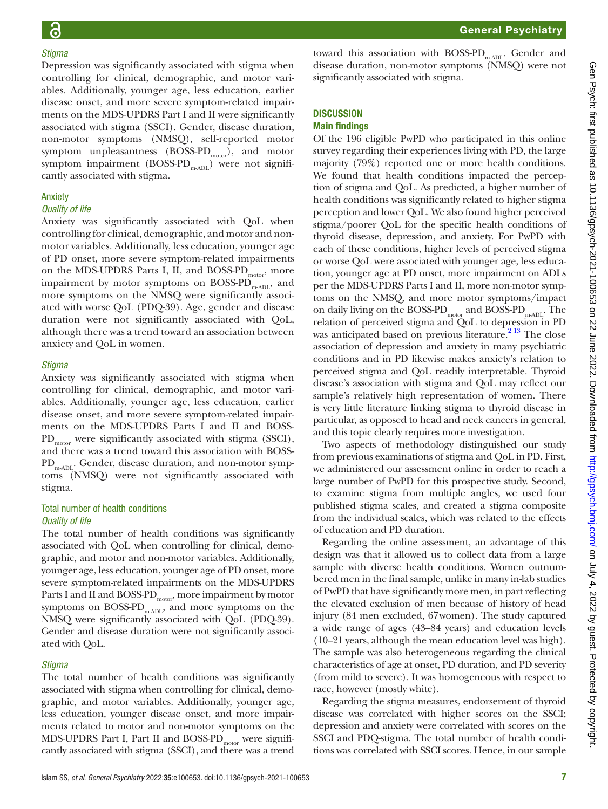### *Stigma*

Depression was significantly associated with stigma when controlling for clinical, demographic, and motor variables. Additionally, younger age, less education, earlier disease onset, and more severe symptom-related impairments on the MDS-UPDRS Part I and II were significantly associated with stigma (SSCI). Gender, disease duration, non-motor symptoms (NMSQ), self-reported motor symptom unpleasantness  $(BOSS-PD<sub>motor</sub>)$ , and motor symptom impairment (BOSS-PD<sub>m-ADL</sub>) were not significantly associated with stigma.

#### Anxiety

#### *Quality of life*

Anxiety was significantly associated with QoL when controlling for clinical, demographic, and motor and nonmotor variables. Additionally, less education, younger age of PD onset, more severe symptom-related impairments on the MDS-UPDRS Parts I, II, and BOSS-PD<sub>motor</sub>, more impairment by motor symptoms on BOSS-PD $_{\text{mADL}}$ , and more symptoms on the NMSQ were significantly associated with worse QoL (PDQ-39). Age, gender and disease duration were not significantly associated with QoL, although there was a trend toward an association between anxiety and QoL in women.

#### *Stigma*

Anxiety was significantly associated with stigma when controlling for clinical, demographic, and motor variables. Additionally, younger age, less education, earlier disease onset, and more severe symptom-related impairments on the MDS-UPDRS Parts I and II and BOSS-PD<sub>motor</sub> were significantly associated with stigma (SSCI), and there was a trend toward this association with BOSS-PD<sub>m-ADL</sub>. Gender, disease duration, and non-motor symptoms (NMSQ) were not significantly associated with stigma.

#### Total number of health conditions *Quality of life*

The total number of health conditions was significantly associated with QoL when controlling for clinical, demographic, and motor and non-motor variables. Additionally, younger age, less education, younger age of PD onset, more severe symptom-related impairments on the MDS-UPDRS Parts I and II and BOSS-PD<sub>motor</sub>, more impairment by motor symptoms on BOSS-PD<sub>m-ADL</sub>, and more symptoms on the NMSQ were significantly associated with QoL (PDQ-39). Gender and disease duration were not significantly associated with QoL.

#### *Stigma*

The total number of health conditions was significantly associated with stigma when controlling for clinical, demographic, and motor variables. Additionally, younger age, less education, younger disease onset, and more impairments related to motor and non-motor symptoms on the MDS-UPDRS Part I, Part II and BOSS-PD<sub>motor</sub> were significantly associated with stigma (SSCI), and there was a trend

toward this association with  $BOSS-PD_{m\text{-ADL}}$ . Gender and disease duration, non-motor symptoms (NMSQ) were not significantly associated with stigma.

### **DISCUSSION**

#### Main findings

Of the 196 eligible PwPD who participated in this online survey regarding their experiences living with PD, the large majority (79%) reported one or more health conditions. We found that health conditions impacted the perception of stigma and QoL. As predicted, a higher number of health conditions was significantly related to higher stigma perception and lower QoL. We also found higher perceived stigma/poorer QoL for the specific health conditions of thyroid disease, depression, and anxiety. For PwPD with each of these conditions, higher levels of perceived stigma or worse QoL were associated with younger age, less education, younger age at PD onset, more impairment on ADLs per the MDS-UPDRS Parts I and II, more non-motor symptoms on the NMSQ, and more motor symptoms/impact on daily living on the BOSS-PD<sub>motor</sub> and BOSS-PD<sub>m-ADL</sub>. The relation of perceived stigma and QoL to depression in PD was anticipated based on previous literature. $2^{13}$  The close association of depression and anxiety in many psychiatric conditions and in PD likewise makes anxiety's relation to perceived stigma and QoL readily interpretable. Thyroid disease's association with stigma and QoL may reflect our sample's relatively high representation of women. There is very little literature linking stigma to thyroid disease in particular, as opposed to head and neck cancers in general, and this topic clearly requires more investigation.

Two aspects of methodology distinguished our study from previous examinations of stigma and QoL in PD. First, we administered our assessment online in order to reach a large number of PwPD for this prospective study. Second, to examine stigma from multiple angles, we used four published stigma scales, and created a stigma composite from the individual scales, which was related to the effects of education and PD duration.

Regarding the online assessment, an advantage of this design was that it allowed us to collect data from a large sample with diverse health conditions. Women outnumbered men in the final sample, unlike in many in-lab studies of PwPD that have significantly more men, in part reflecting the elevated exclusion of men because of history of head injury (84 men excluded, 67women). The study captured a wide range of ages (43–84 years) and education levels (10–21 years, although the mean education level was high). The sample was also heterogeneous regarding the clinical characteristics of age at onset, PD duration, and PD severity (from mild to severe). It was homogeneous with respect to race, however (mostly white).

Regarding the stigma measures, endorsement of thyroid disease was correlated with higher scores on the SSCI; depression and anxiety were correlated with scores on the SSCI and PDQ-stigma. The total number of health conditions was correlated with SSCI scores. Hence, in our sample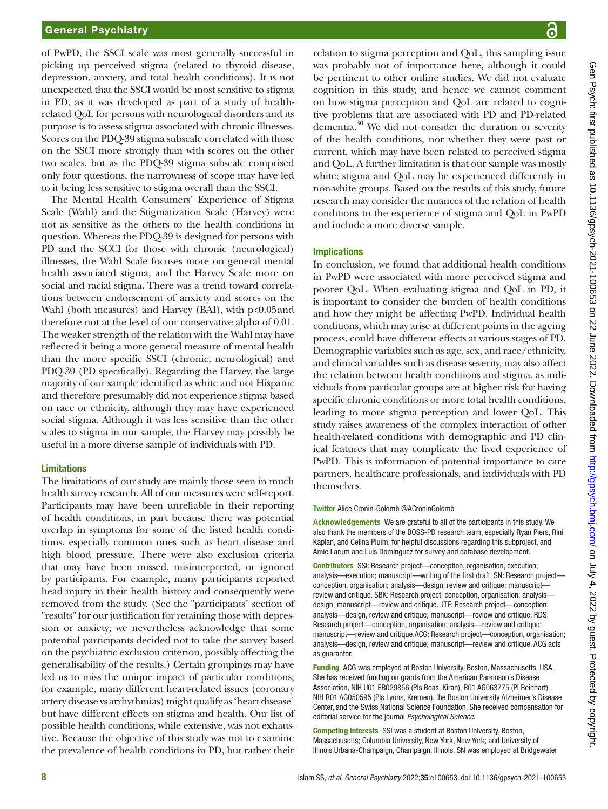of PwPD, the SSCI scale was most generally successful in picking up perceived stigma (related to thyroid disease, depression, anxiety, and total health conditions). It is not unexpected that the SSCI would be most sensitive to stigma in PD, as it was developed as part of a study of healthrelated QoL for persons with neurological disorders and its purpose is to assess stigma associated with chronic illnesses. Scores on the PDQ-39 stigma subscale correlated with those on the SSCI more strongly than with scores on the other two scales, but as the PDQ-39 stigma subscale comprised only four questions, the narrowness of scope may have led to it being less sensitive to stigma overall than the SSCI.

The Mental Health Consumers' Experience of Stigma Scale (Wahl) and the Stigmatization Scale (Harvey) were not as sensitive as the others to the health conditions in question. Whereas the PDQ-39 is designed for persons with PD and the SCCI for those with chronic (neurological) illnesses, the Wahl Scale focuses more on general mental health associated stigma, and the Harvey Scale more on social and racial stigma. There was a trend toward correlations between endorsement of anxiety and scores on the Wahl (both measures) and Harvey (BAI), with  $p<0.05$  and therefore not at the level of our conservative alpha of 0.01. The weaker strength of the relation with the Wahl may have reflected it being a more general measure of mental health than the more specific SSCI (chronic, neurological) and PDQ-39 (PD specifically). Regarding the Harvey, the large majority of our sample identified as white and not Hispanic and therefore presumably did not experience stigma based on race or ethnicity, although they may have experienced social stigma. Although it was less sensitive than the other scales to stigma in our sample, the Harvey may possibly be useful in a more diverse sample of individuals with PD.

#### Limitations

The limitations of our study are mainly those seen in much health survey research. All of our measures were self-report. Participants may have been unreliable in their reporting of health conditions, in part because there was potential overlap in symptoms for some of the listed health conditions, especially common ones such as heart disease and high blood pressure. There were also exclusion criteria that may have been missed, misinterpreted, or ignored by participants. For example, many participants reported head injury in their health history and consequently were removed from the study. (See the "participants" section of "results" for our justification for retaining those with depression or anxiety; we nevertheless acknowledge that some potential participants decided not to take the survey based on the psychiatric exclusion criterion, possibly affecting the generalisability of the results.) Certain groupings may have led us to miss the unique impact of particular conditions; for example, many different heart-related issues (coronary artery disease vs arrhythmias) might qualify as 'heart disease' but have different effects on stigma and health. Our list of possible health conditions, while extensive, was not exhaustive. Because the objective of this study was not to examine the prevalence of health conditions in PD, but rather their

relation to stigma perception and QoL, this sampling issue was probably not of importance here, although it could be pertinent to other online studies. We did not evaluate cognition in this study, and hence we cannot comment on how stigma perception and QoL are related to cognitive problems that are associated with PD and PD-related dementia. $30$  We did not consider the duration or severity of the health conditions, nor whether they were past or current, which may have been related to perceived stigma and QoL. A further limitation is that our sample was mostly white; stigma and QoL may be experienced differently in non-white groups. Based on the results of this study, future research may consider the nuances of the relation of health conditions to the experience of stigma and QoL in PwPD and include a more diverse sample.

#### Implications

In conclusion, we found that additional health conditions in PwPD were associated with more perceived stigma and poorer QoL. When evaluating stigma and QoL in PD, it is important to consider the burden of health conditions and how they might be affecting PwPD. Individual health conditions, which may arise at different points in the ageing process, could have different effects at various stages of PD. Demographic variables such as age, sex, and race/ethnicity, and clinical variables such as disease severity, may also affect the relation between health conditions and stigma, as individuals from particular groups are at higher risk for having specific chronic conditions or more total health conditions, leading to more stigma perception and lower QoL. This study raises awareness of the complex interaction of other health-related conditions with demographic and PD clinical features that may complicate the lived experience of PwPD. This is information of potential importance to care partners, healthcare professionals, and individuals with PD themselves.

#### Twitter Alice Cronin-Golomb [@ACroninGolomb](https://twitter.com/ACroninGolomb)

**Acknowledgements** We are grateful to all of the participants in this study. We also thank the members of the BOSS-PD research team, especially Ryan Piers, Rini Kaplan, and Celina Pluim, for helpful discussions regarding this subproject, and Amie Larum and Luis Dominguez for survey and database development.

Contributors SSI: Research project—conception, organisation, execution; analysis—execution; manuscript—writing of the first draft. SN: Research project conception, organisation; analysis—design, review and critique; manuscript review and critique. SBK: Research project: conception, organisation; analysis design; manuscript—review and critique. JTF: Research project—conception; analysis—design, review and critique; manuscript—review and critique. RDS: Research project—conception, organisation; analysis—review and critique; manuscript—review and critique.ACG: Research project—conception, organisation; analysis—design, review and critique; manuscript—review and critique. ACG acts as guarantor.

Funding ACG was employed at Boston University, Boston, Massachusetts, USA. She has received funding on grants from the American Parkinson's Disease Association, NIH U01 EB029856 (PIs Boas, Kiran), R01 AG063775 (PI Reinhart), NIH R01 AG050595 (PIs Lyons, Kremen), the Boston University Alzheimer's Disease Center, and the Swiss National Science Foundation. She received compensation for editorial service for the journal *Psychological Science*.

Competing interests SSI was a student at Boston University, Boston, Massachusetts; Columbia University, New York, New York; and University of Illinois Urbana-Champaign, Champaign, Illinois. SN was employed at Bridgewater